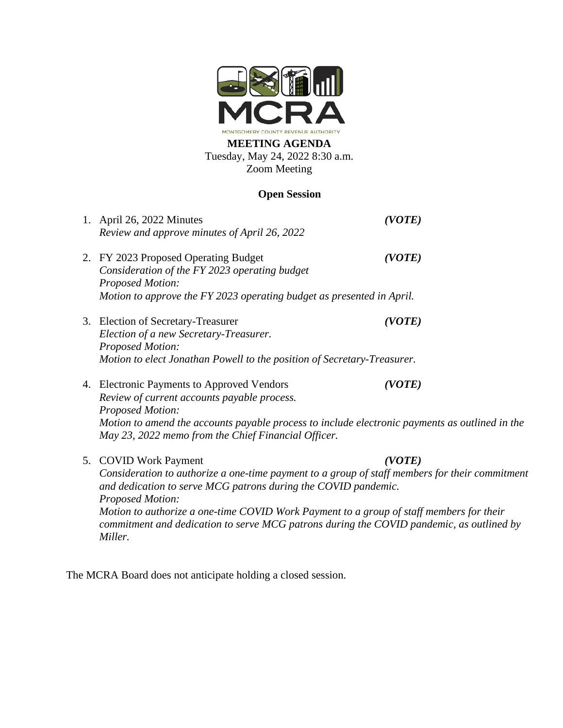

## **MEETING AGENDA** Tuesday, May 24, 2022 8:30 a.m. Zoom Meeting

## **Open Session**

1. April 26, 2022 Minutes *(VOTE) Review and approve minutes of April 26, 2022* 2. FY 2023 Proposed Operating Budget *(VOTE) Consideration of the FY 2023 operating budget Proposed Motion: Motion to approve the FY 2023 operating budget as presented in April.* 3. Election of Secretary-Treasurer *(VOTE) Election of a new Secretary-Treasurer. Proposed Motion: Motion to elect Jonathan Powell to the position of Secretary-Treasurer.* 4. Electronic Payments to Approved Vendors *(VOTE) Review of current accounts payable process. Proposed Motion: Motion to amend the accounts payable process to include electronic payments as outlined in the May 23, 2022 memo from the Chief Financial Officer.* 5. COVID Work Payment *(VOTE) Consideration to authorize a one-time payment to a group of staff members for their commitment and dedication to serve MCG patrons during the COVID pandemic. Proposed Motion: Motion to authorize a one-time COVID Work Payment to a group of staff members for their commitment and dedication to serve MCG patrons during the COVID pandemic, as outlined by Miller.*

The MCRA Board does not anticipate holding a closed session.